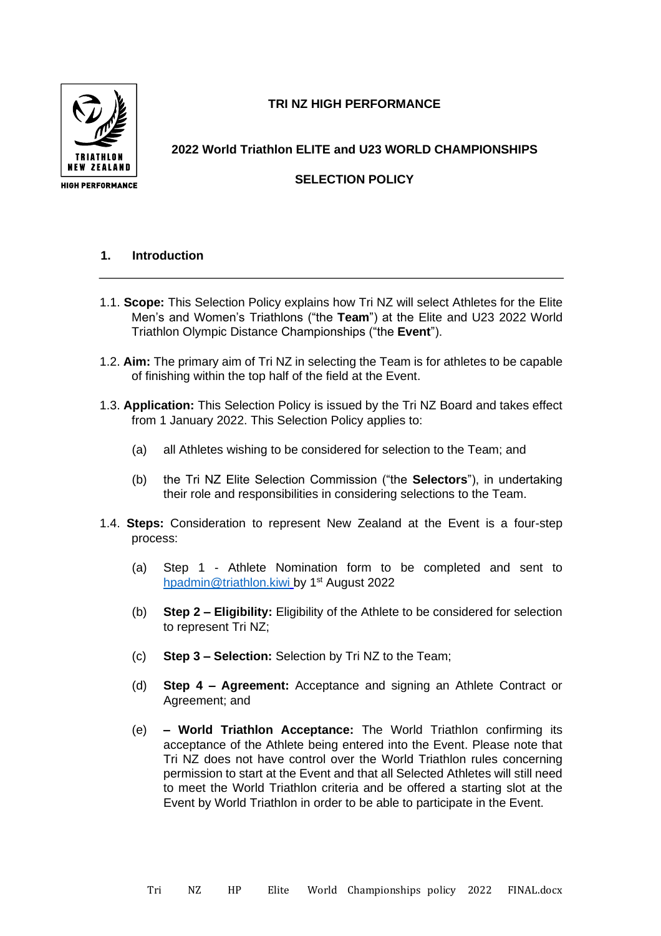**TRI NZ HIGH PERFORMANCE** 



**2022 World Triathlon ELITE and U23 WORLD CHAMPIONSHIPS**

# **SELECTION POLICY**

# **1. Introduction**

- 1.1. **Scope:** This Selection Policy explains how Tri NZ will select Athletes for the Elite Men's and Women's Triathlons ("the **Team**") at the Elite and U23 2022 World Triathlon Olympic Distance Championships ("the **Event**").
- 1.2. **Aim:** The primary aim of Tri NZ in selecting the Team is for athletes to be capable of finishing within the top half of the field at the Event.
- 1.3. **Application:** This Selection Policy is issued by the Tri NZ Board and takes effect from 1 January 2022. This Selection Policy applies to:
	- (a) all Athletes wishing to be considered for selection to the Team; and
	- (b) the Tri NZ Elite Selection Commission ("the **Selectors**"), in undertaking their role and responsibilities in considering selections to the Team.
- 1.4. **Steps:** Consideration to represent New Zealand at the Event is a four-step process:
	- (a) Step 1 Athlete Nomination form to be completed and sent to [hpadmin@triathlon.kiwi](mailto:hpadmin@triathlon.kiwi) by 1<sup>st</sup> August 2022
	- (b) **Step 2 – Eligibility:** Eligibility of the Athlete to be considered for selection to represent Tri NZ;
	- (c) **Step 3 – Selection:** Selection by Tri NZ to the Team;
	- (d) **Step 4 – Agreement:** Acceptance and signing an Athlete Contract or Agreement; and
	- (e) **– World Triathlon Acceptance:** The World Triathlon confirming its acceptance of the Athlete being entered into the Event. Please note that Tri NZ does not have control over the World Triathlon rules concerning permission to start at the Event and that all Selected Athletes will still need to meet the World Triathlon criteria and be offered a starting slot at the Event by World Triathlon in order to be able to participate in the Event.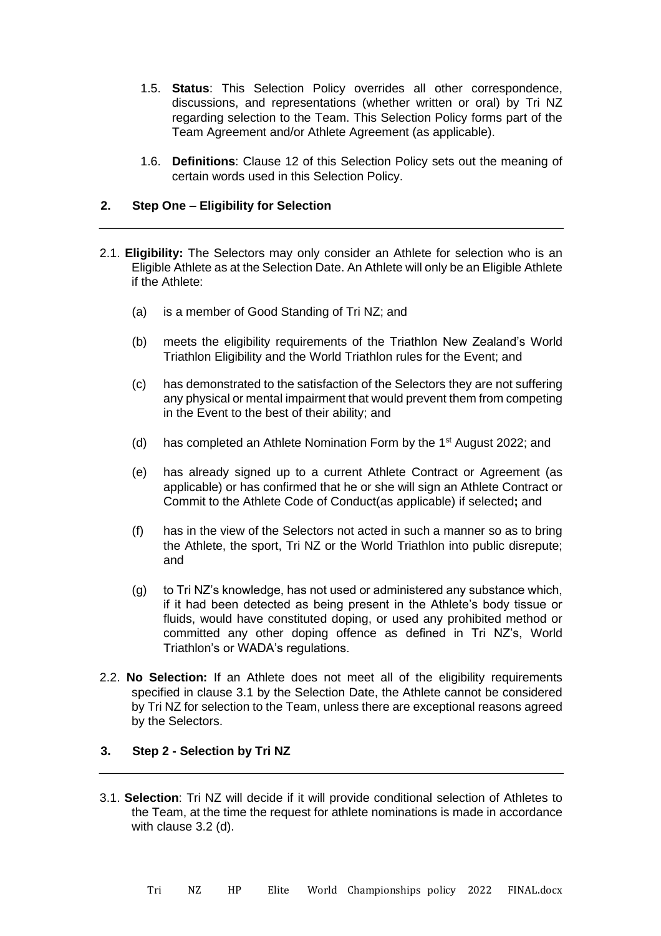- 1.5. **Status**: This Selection Policy overrides all other correspondence, discussions, and representations (whether written or oral) by Tri NZ regarding selection to the Team. This Selection Policy forms part of the Team Agreement and/or Athlete Agreement (as applicable).
- 1.6. **Definitions**: Clause 12 of this Selection Policy sets out the meaning of certain words used in this Selection Policy.

### **2. Step One – Eligibility for Selection**

- 2.1. **Eligibility:** The Selectors may only consider an Athlete for selection who is an Eligible Athlete as at the Selection Date. An Athlete will only be an Eligible Athlete if the Athlete:
	- (a) is a member of Good Standing of Tri NZ; and
	- (b) meets the eligibility requirements of the Triathlon New Zealand's World Triathlon Eligibility and the World Triathlon rules for the Event; and
	- (c) has demonstrated to the satisfaction of the Selectors they are not suffering any physical or mental impairment that would prevent them from competing in the Event to the best of their ability; and
	- (d) has completed an Athlete Nomination Form by the  $1<sup>st</sup>$  August 2022; and
	- (e) has already signed up to a current Athlete Contract or Agreement (as applicable) or has confirmed that he or she will sign an Athlete Contract or Commit to the Athlete Code of Conduct(as applicable) if selected**;** and
	- (f) has in the view of the Selectors not acted in such a manner so as to bring the Athlete, the sport, Tri NZ or the World Triathlon into public disrepute; and
	- (g) to Tri NZ's knowledge, has not used or administered any substance which, if it had been detected as being present in the Athlete's body tissue or fluids, would have constituted doping, or used any prohibited method or committed any other doping offence as defined in Tri NZ's, World Triathlon's or WADA's regulations.
- 2.2. **No Selection:** If an Athlete does not meet all of the eligibility requirements specified in clause 3.1 by the Selection Date, the Athlete cannot be considered by Tri NZ for selection to the Team, unless there are exceptional reasons agreed by the Selectors.

# **3. Step 2 - Selection by Tri NZ**

3.1. **Selection**: Tri NZ will decide if it will provide conditional selection of Athletes to the Team, at the time the request for athlete nominations is made in accordance with clause 3.2 (d).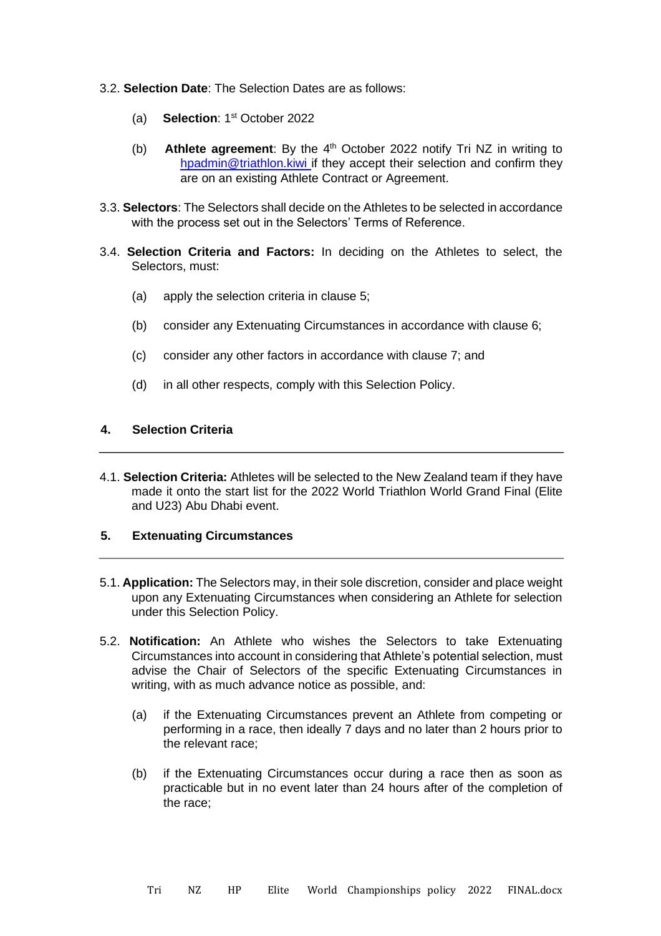- 3.2. **Selection Date**: The Selection Dates are as follows:
	- (a) **Selection**: 1<sup>st</sup> October 2022
	- **Athlete agreement**: By the 4<sup>th</sup> October 2022 notify Tri NZ in writing to hpadmin@triathlon.kiwi if they accept their selection and confirm they are on an existing Athlete Contract or Agreement. (b)
- 3.3. **Selectors**: The Selectors shall decide on the Athletes to be selected in accordance with the process set out in the Selectors' Terms of Reference.
- 3.4. **Selection Criteria and Factors:** In deciding on the Athletes to select, the Selectors, must:
	- (a) apply the selection criteria in clause 5;
	- (b) consider any Extenuating Circumstances in accordance with clause 6;
	- (c) consider any other factors in accordance with clause 7; and
	- (d) in all other respects, comply with this Selection Policy.

### **4. Selection Criteria**

4.1. **Selection Criteria:** Athletes will be selected to the New Zealand team if they have made it onto the start list for the 2022 World Triathlon World Grand Final (Elite and U23) Abu Dhabi event.

### **5. Extenuating Circumstances**

- 5.1. **Application:** The Selectors may, in their sole discretion, consider and place weight upon any Extenuating Circumstances when considering an Athlete for selection under this Selection Policy.
- 5.2. **Notification:** An Athlete who wishes the Selectors to take Extenuating Circumstances into account in considering that Athlete's potential selection, must advise the Chair of Selectors of the specific Extenuating Circumstances in writing, with as much advance notice as possible, and:
	- (a) if the Extenuating Circumstances prevent an Athlete from competing or performing in a race, then ideally 7 days and no later than 2 hours prior to the relevant race;
	- (b) if the Extenuating Circumstances occur during a race then as soon as practicable but in no event later than 24 hours after of the completion of the race;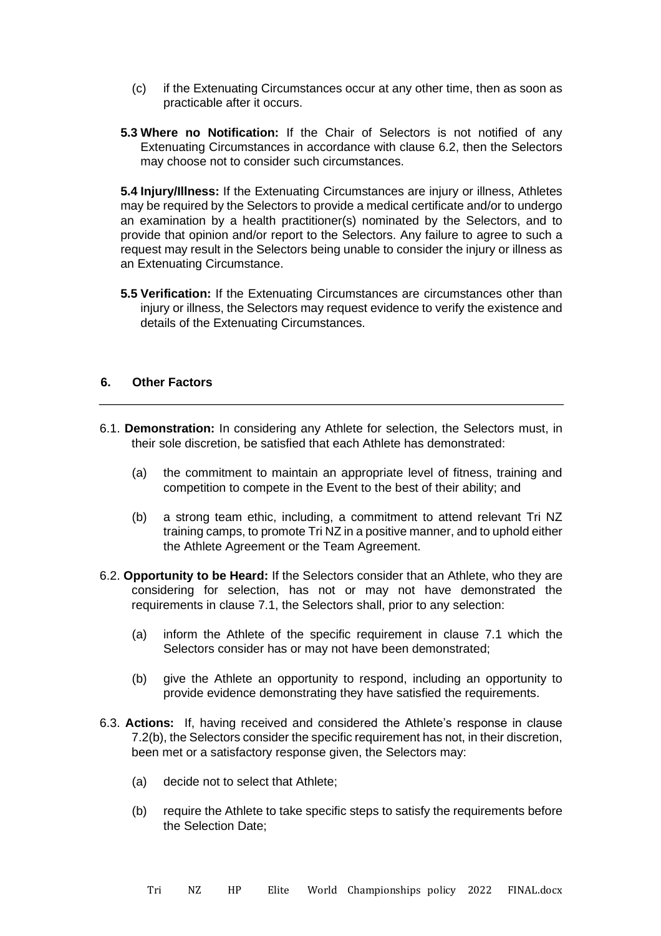- (c) if the Extenuating Circumstances occur at any other time, then as soon as practicable after it occurs.
- **5.3 Where no Notification:** If the Chair of Selectors is not notified of any Extenuating Circumstances in accordance with clause 6.2, then the Selectors may choose not to consider such circumstances.

**5.4 Injury/Illness:** If the Extenuating Circumstances are injury or illness, Athletes may be required by the Selectors to provide a medical certificate and/or to undergo an examination by a health practitioner(s) nominated by the Selectors, and to provide that opinion and/or report to the Selectors. Any failure to agree to such a request may result in the Selectors being unable to consider the injury or illness as an Extenuating Circumstance.

**5.5 Verification:** If the Extenuating Circumstances are circumstances other than injury or illness, the Selectors may request evidence to verify the existence and details of the Extenuating Circumstances.

### **6. Other Factors**

- 6.1. **Demonstration:** In considering any Athlete for selection, the Selectors must, in their sole discretion, be satisfied that each Athlete has demonstrated:
	- (a) the commitment to maintain an appropriate level of fitness, training and competition to compete in the Event to the best of their ability; and
	- (b) a strong team ethic, including, a commitment to attend relevant Tri NZ training camps, to promote Tri NZ in a positive manner, and to uphold either the Athlete Agreement or the Team Agreement.
- 6.2. **Opportunity to be Heard:** If the Selectors consider that an Athlete, who they are considering for selection, has not or may not have demonstrated the requirements in clause 7.1, the Selectors shall, prior to any selection:
	- (a) inform the Athlete of the specific requirement in clause 7.1 which the Selectors consider has or may not have been demonstrated;
	- (b) give the Athlete an opportunity to respond, including an opportunity to provide evidence demonstrating they have satisfied the requirements.
- 6.3. **Actions:** If, having received and considered the Athlete's response in clause 7.2(b), the Selectors consider the specific requirement has not, in their discretion, been met or a satisfactory response given, the Selectors may:
	- (a) decide not to select that Athlete;
	- (b) require the Athlete to take specific steps to satisfy the requirements before the Selection Date;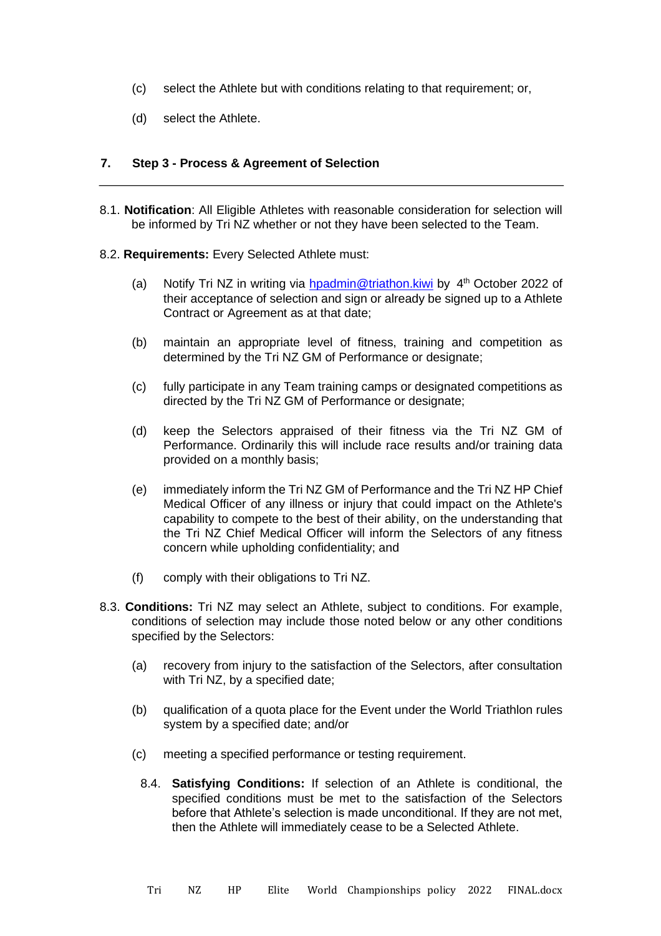- (c) select the Athlete but with conditions relating to that requirement; or,
- (d) select the Athlete.

### **7. Step 3 - Process & Agreement of Selection**

- 8.1. **Notification**: All Eligible Athletes with reasonable consideration for selection will be informed by Tri NZ whether or not they have been selected to the Team.
- 8.2. **Requirements:** Every Selected Athlete must:
	- (a) Notify Tri NZ in writing via **hpadmin@triathon.kiwi** by 4<sup>th</sup> October 2022 of their acceptance of selection and sign or already be signed up to a Athlete Contract or Agreement as at that date;
	- (b) maintain an appropriate level of fitness, training and competition as determined by the Tri NZ GM of Performance or designate;
	- (c) fully participate in any Team training camps or designated competitions as directed by the Tri NZ GM of Performance or designate;
	- (d) keep the Selectors appraised of their fitness via the Tri NZ GM of Performance. Ordinarily this will include race results and/or training data provided on a monthly basis;
	- (e) immediately inform the Tri NZ GM of Performance and the Tri NZ HP Chief Medical Officer of any illness or injury that could impact on the Athlete's capability to compete to the best of their ability, on the understanding that the Tri NZ Chief Medical Officer will inform the Selectors of any fitness concern while upholding confidentiality; and
	- (f) comply with their obligations to Tri NZ.
- 8.3. **Conditions:** Tri NZ may select an Athlete, subject to conditions. For example, conditions of selection may include those noted below or any other conditions specified by the Selectors:
	- (a) recovery from injury to the satisfaction of the Selectors, after consultation with Tri NZ, by a specified date;
	- (b) qualification of a quota place for the Event under the World Triathlon rules system by a specified date; and/or
	- (c) meeting a specified performance or testing requirement.
		- 8.4. **Satisfying Conditions:** If selection of an Athlete is conditional, the specified conditions must be met to the satisfaction of the Selectors before that Athlete's selection is made unconditional. If they are not met, then the Athlete will immediately cease to be a Selected Athlete.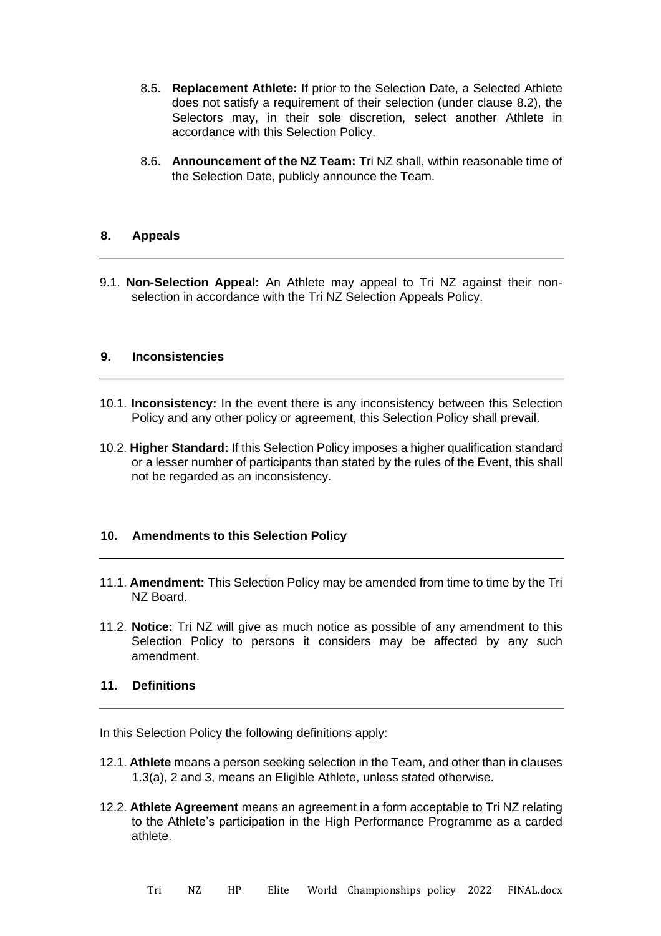- 8.5. **Replacement Athlete:** If prior to the Selection Date, a Selected Athlete does not satisfy a requirement of their selection (under clause 8.2), the Selectors may, in their sole discretion, select another Athlete in accordance with this Selection Policy.
- 8.6. **Announcement of the NZ Team:** Tri NZ shall, within reasonable time of the Selection Date, publicly announce the Team.

### **8. Appeals**

9.1. **Non-Selection Appeal:** An Athlete may appeal to Tri NZ against their nonselection in accordance with the Tri NZ Selection Appeals Policy.

#### **9. Inconsistencies**

- 10.1. **Inconsistency:** In the event there is any inconsistency between this Selection Policy and any other policy or agreement, this Selection Policy shall prevail.
- 10.2. **Higher Standard:** If this Selection Policy imposes a higher qualification standard or a lesser number of participants than stated by the rules of the Event, this shall not be regarded as an inconsistency.

#### **10. Amendments to this Selection Policy**

- 11.1. **Amendment:** This Selection Policy may be amended from time to time by the Tri NZ Board.
- 11.2. **Notice:** Tri NZ will give as much notice as possible of any amendment to this Selection Policy to persons it considers may be affected by any such amendment.

# **11. Definitions**

In this Selection Policy the following definitions apply:

- 12.1. **Athlete** means a person seeking selection in the Team, and other than in clauses 1.3(a), 2 and 3, means an Eligible Athlete, unless stated otherwise.
- 12.2. **Athlete Agreement** means an agreement in a form acceptable to Tri NZ relating to the Athlete's participation in the High Performance Programme as a carded athlete.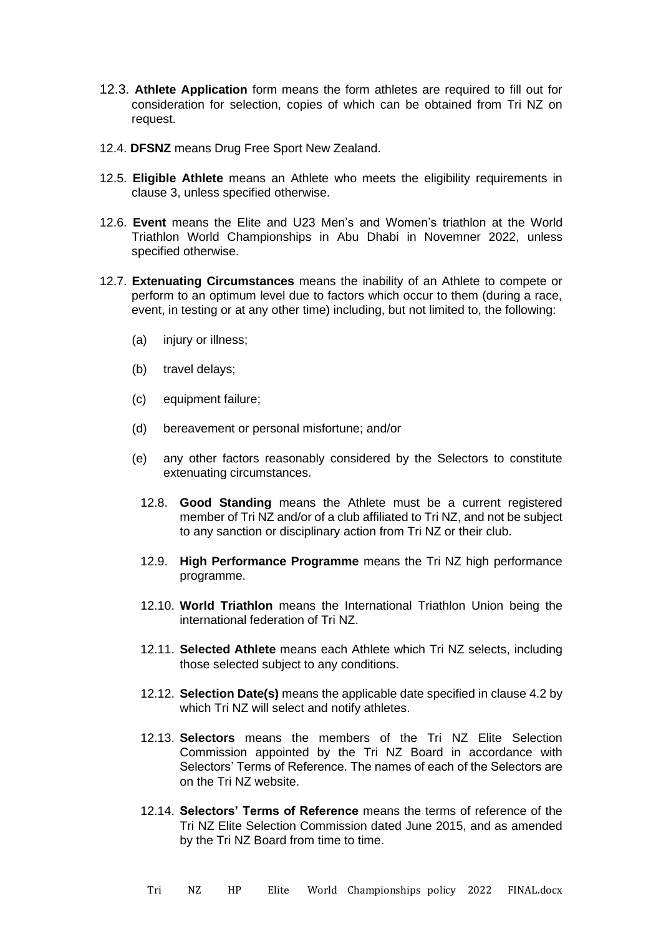- 12.3. **Athlete Application** form means the form athletes are required to fill out for consideration for selection, copies of which can be obtained from Tri NZ on request.
- 12.4. **DFSNZ** means Drug Free Sport New Zealand.
- 12.5. **Eligible Athlete** means an Athlete who meets the eligibility requirements in clause 3, unless specified otherwise.
- 12.6. **Event** means the Elite and U23 Men's and Women's triathlon at the World Triathlon World Championships in Abu Dhabi in Novemner 2022, unless specified otherwise.
- 12.7. **Extenuating Circumstances** means the inability of an Athlete to compete or perform to an optimum level due to factors which occur to them (during a race, event, in testing or at any other time) including, but not limited to, the following:
	- (a) injury or illness;
	- (b) travel delays;
	- (c) equipment failure;
	- (d) bereavement or personal misfortune; and/or
	- (e) any other factors reasonably considered by the Selectors to constitute extenuating circumstances.
		- 12.8. **Good Standing** means the Athlete must be a current registered member of Tri NZ and/or of a club affiliated to Tri NZ, and not be subject to any sanction or disciplinary action from Tri NZ or their club.
		- 12.9. **High Performance Programme** means the Tri NZ high performance programme.
		- 12.10. **World Triathlon** means the International Triathlon Union being the international federation of Tri NZ.
		- 12.11. **Selected Athlete** means each Athlete which Tri NZ selects, including those selected subject to any conditions.
		- 12.12. **Selection Date(s)** means the applicable date specified in clause 4.2 by which Tri NZ will select and notify athletes.
		- 12.13. **Selectors** means the members of the Tri NZ Elite Selection Commission appointed by the Tri NZ Board in accordance with Selectors' Terms of Reference. The names of each of the Selectors are on the Tri NZ website.
		- 12.14. **Selectors' Terms of Reference** means the terms of reference of the Tri NZ Elite Selection Commission dated June 2015, and as amended by the Tri NZ Board from time to time.